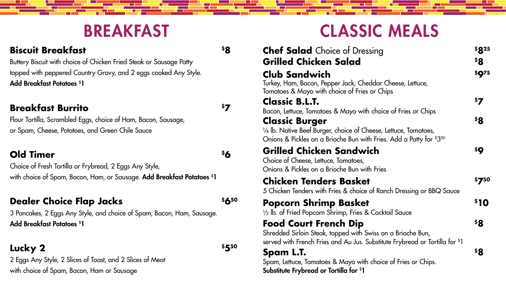### BREAKFAST

#### **Biscuit Breakfast \$8**

Buttery Biscuit with choice of Chicken Fried Steak or Sausage Patty topped with peppered Country Gravy, and 2 eggs cooked Any Style. Add Breakfast Potatoes \$ 1

Choice of Fresh Tortilla or Frybread, 2 Eggs Any Style, with choice of Spam, Bacon, Ham, or Sausage. **Add Breakfast Potatoes <sup>\$</sup>1** 

#### **Dealer Choice Flap Jacks \$650**

#### **Breakfast Burrito \$7**

Flour Tortilla, Scrambled Eggs, choice of Ham, Bacon, Sausage, or Spam, Cheese, Potatoes, and Green Chile Sauce

#### **Old Timer \$6**

3 Pancakes, 2 Eggs Any Style, and choice of Spam, Bacon, Ham, Sausage. Add Breakfast Potatoes \$ 1

#### **Lucky 2**  $\frac{1}{550}$

2 Eggs Any Style, 2 Slices of Toast, and 2 Slices of Meat with choice of Spam, Bacon, Ham or Sausage

#### **Chef Salad** Choice of D **Grilled Chicken Sala**

# CLASSIC MEALS

#### **Club Sandwich \$975**

Turkey, Ham, Bacon, Pepper Jack, Tomatoes & Mayo with choice of

Spam, Lettuce, Tomatoes & Mayo Substitute Frybread or Tortilla for \$ 1

#### **Classic B.L.T. \$7**

Bacon, Lettuce, Tomatoes & Mayo

#### **Classic Burger**

 $\frac{1}{4}$  lb. Native Beef Burger, choice c Onions & Pickles on a Brioche Bun

#### **Grilled Chicken Sand**

Choice of Cheese, Lettuce, Tomato Onions & Pickles on a Brioche Bun

### **Chicken Tenders Bas**

5 Chicken Tenders with Fries & che

#### **Popcorn Shrimp Bas**

1/2 lb. of Fried Popcorn Shrimp, Fri

#### **Food Court French Di**

Shredded Sirloin Steak, topped wi served with French Fries and Au J

| <b>Dressing</b>                                     | \$825        |
|-----------------------------------------------------|--------------|
| d                                                   | \$8          |
|                                                     | <b>\$Q75</b> |
| <b>Cheddar Cheese, Lettuce,</b><br>Fries or Chips   |              |
|                                                     | \$7          |
| with choice of Fries or Chips                       |              |
|                                                     | \$8          |
| of Cheese, Lettuce, Tomatoes,                       |              |
| n with Fries. Add a Patty for $$3^{50}$             |              |
| łwich                                               | \$Q          |
| es,<br>n with Fries                                 |              |
| <b>ket</b>                                          | \$750        |
| oice of Ranch Dressing or BBQ Sauce                 |              |
| <b>ket</b>                                          | \$10         |
| ies & Cocktail Sauce                                |              |
| ip                                                  | \$Զ          |
| ith Swiss on a Brioche Bun,                         |              |
| lus. Substitute Frybread or Tortilla for \$1        |              |
|                                                     | <b>\$8</b>   |
| with choice of Fries or Chips.<br>r <sup>\$</sup> 1 |              |
|                                                     |              |

#### **Spam L.T. \$8**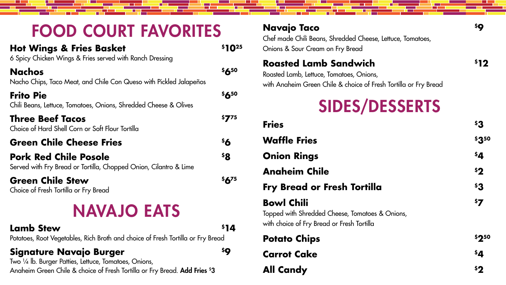## FOOD COURT FAVORITES

| <b>Hot Wings &amp; Fries Basket</b><br>6 Spicy Chicken Wings & Fries served with Ranch Dressing   |           |
|---------------------------------------------------------------------------------------------------|-----------|
| <b>Nachos</b><br>Nacho Chips, Taco Meat, and Chile Con Queso with Pickled Jalapeños               | \$650     |
| <b>Frito Pie</b><br>Chili Beans, Lettuce, Tomatoes, Onions, Shredded Cheese & Olives              | \$650     |
| <b>Three Beef Tacos</b><br>Choice of Hard Shell Corn or Soft Flour Tortilla                       | \$775     |
| <b>Green Chile Cheese Fries</b>                                                                   | \$6       |
| <b>Pork Red Chile Posole</b><br>Served with Fry Bread or Tortilla, Chopped Onion, Cilantro & Lime | \$8       |
| <b>Green Chile Stew</b><br>Choice of Fresh Tortilla or Fry Bread                                  | $56^{75}$ |
|                                                                                                   |           |

Two ¼ lb. Burger Patties, Lettuce, Tomatoes, Onions, Anaheim Green Chile & choice of Fresh Tortilla or Fry Bread. **Add Fries <sup>\$</sup>3** 

#### **Navajo Taco**

#### **Roasted Lamb Sand**

- **Waffle Fries**
- **Onion Rings** 
	- **Anaheim Chile**
	- **Fry Bread or Fresh 1**

## NAVAJO EATS

#### **Lamb Stew**  $\frac{1}{4}$

Potatoes, Root Vegetables, Rich Broth and choice of Fresh Tortilla or Fry Bread

#### **Signature Navajo Burger \$9**

### **Bowl Chili \$7**

#### **Potato Chips**

| Navajo Taco<br>Chef made Chili Beans, Shredded Cheese, Lettuce, Tomatoes,<br>Onions & Sour Cream on Fry Bread                                | \$Q   |
|----------------------------------------------------------------------------------------------------------------------------------------------|-------|
| <b>Roasted Lamb Sandwich</b><br>Roasted Lamb, Lettuce, Tomatoes, Onions,<br>with Anaheim Green Chile & choice of Fresh Tortilla or Fry Bread | 512   |
| <b>SIDES/DESSERTS</b>                                                                                                                        |       |
| <b>Fries</b>                                                                                                                                 | \$3   |
| <b>Waffle Fries</b>                                                                                                                          | \$350 |
| <b>Onion Rings</b>                                                                                                                           | \$4   |
| <b>Angheim Chile</b>                                                                                                                         | 52    |
| <b>Fry Bread or Fresh Tortilla</b>                                                                                                           | \$3   |
| <b>Bowl Chili</b><br>Topped with Shredded Cheese, Tomatoes & Onions,<br>with choice of Fry Bread or Fresh Tortilla                           | \$7   |
| <b>Potato Chips</b>                                                                                                                          | \$250 |
| <b>Carrot Cake</b>                                                                                                                           | \$4   |
| <b>All Candy</b>                                                                                                                             | \$2   |